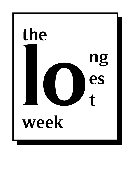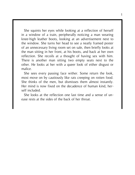She squints her eyes while looking at a reflection of herself in a window of a train, peripherally noticing a man wearing knee-high leather boots, looking at an advertisement next to the window. She turns her head to see a neatly framed poster of an unnecessary living room set on sale, then briefly looks at the man sitting in her front, at his boots, and back at her own reflection. She recoils at a thought of having sex with him. There is another man sitting two empty seats next to the other. He looks at her with a queer look of either disgust or malice.

She sees every passing face wither. Some return the look, most move on by cautiously like rats creeping on rotten food. She thinks of the men, but dismisses them almost instantly. Her mind is now fixed on the decadence of human kind, herself included.

She looks at the reflection one last time and a sense of unease rests at the sides of the back of her throat.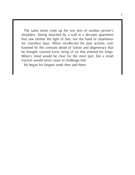The same sense crept up the wet skin of another person's shoulders. Sitting slouched by a wall in a decrepit apartment that saw neither the light of Sun, nor the hand of cleanliness for countless days, Milan recollected his past actions, ever haunted by the constant dread of failure and degeneracy that he thought coursed every string of air that entered his lungs. Milan's mind would be clear for the most part, but a small fraction would never cease to challenge him.

He began his longest week then and there.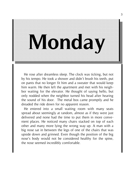

He rose after dreamless sleep. The clock was ticking, but not by his tempo. He took a shower and didn't brush his teeth, put on pants that no longer fit him and a sweater that would keep him warm. He then left the apartment and met with his neighbor waiting for the elevator. He thought of saying hello, but only nodded when the neighbor turned his head after hearing the sound of his door. The metal box came promptly and he dreaded the ride down for no apparent reason.

He entered into a small waiting room with many seats spread about seemingly at random, almost as if they were just delivered and none had the time to put them in more convenient places. He noticed many chairs stacked on top of each other and many more lying the wrong way up. A man with a big nose sat in between the legs of one of the chairs that was upside down and grinned. Even though the position of the big nose's body would not be considered healthy for the spine, the nose seemed incredibly comfortable.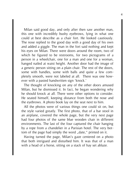Milan said good day, and only after then saw another man, this one with incredibly bushy eyebrows, lying in what one could at best describe as a chair fort. He looked cautiously. The nose replied to the good day with a good day of his own and added a giggle. The man in the fort said nothing and kept his eyes on Milan. There were doors around the room, two of which he figured to be restrooms, for two pictograms of a person in a wheelchair, one for a man and one for a woman, hanged nailed at waist height. Another door had the image of a generic person sitting on a plain chair. The rest of the doors, some with handles, some with balls and quite a few completely smooth, were not labeled at all. There was one however with a pasted handwritten sign 'knock.'

The thought of knocking on any of the other doors amused Milan, but he dismissed it. In fact, he began wondering why he should knock at all. There were other options to consider. He seated himself, keeping distance from both the nose and the eyebrows. A photo book lay on the seat next to him.

All the photos were of various things one could sit on, but the style varied greatly. The first photo, that of a bar stool in an airplane, covered the whole page, but the very next page had four photos of the same blue wooden chair in different environments. The last of the four captured the chair hanging by a rope from a chandelier in a Parisian hotel. The very bottom of the page had simply the word "date," printed on it.

Having turned the page, Milan's gaze centered on a photo that both intrigued and disturbed him. It was that of a man with a head of a horse, sitting on a stack of hay set ablaze.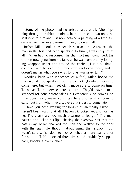Some of the photos had no artistic value at all. After flipping through the thick omnibus, he put it back down onto the seat next to him and just now noticed a painting of a little girl on a white chair in a basement, hanging on a wall.

Before Milan could consider his next action, he realized the man in the fort had been speaking to him: "I wasn't quiet at all." Milan had no response. The chair fort man continued, the caution now gone from his face, as he was comfortably lounging wrapped under and around the chairs: "I said all that I could've, and believe me, I would've said even more, and it doesn't matter what you say as long as you never talk."

Nodding back with innocence of a fool, Milan hoped the man would stop speaking, but he did not. "I didn't choose to come here, but when I set off, I made sure to come on time. To no avail, the service here is horrid. They'd leave a man stranded for eons before taking his credentials, so coming on time does really make your stay here shorter than coming early, but from what I've discovered, it's best to come late."

"Have you been waiting for long?" Milan finally asked. "I haven't been waiting at all. I haven't knocked yet and nor has he. The chairs are too much pleasure to let go." The man paused and licked his lips, chasing the eyebrow hair that ran past away. Milan thanked the man and walked to the door with the sign. He thought about using the restroom, but wasn't sure which door to pick or whether there was a door for him at all. He knocked three times and intuitively stepped back, knocking over a chair.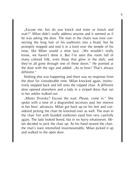"Excuse me, but do you knock and enter or knock and wait?" Milan didn't really address anyone and it seemed as if he was asking the door. The man in the chairs was now connecting the long hair of his eyebrows into a braid, but he promptly stopped and tied it in a knot over the temple of his nose, like Milan would a shoe lace. "We wouldn't really know, we haven't done it. But I've seen this room full of many colored folk, even those that glow in the dark, and they've all gone through one of these doors." He pointed at the door with the sign and added: "As to how? That's always different."

Nothing else was happening and there was no response from the door for considerable time. Milan knocked again, instinctively stepped back and fell onto the tripped chair. A different door opened elsewhere and a lady in a striped dress that ran to her ankles walked out.

"Mister Dvorsky? Excuse the wait. Please, come in." She spoke with a tone of a disgruntled secretary past her interest in her boss' advances. Milan got back up on his feet and considered picking the chair he knocked over as well. The man in the chair fort with braided eyebrows eyed him very carefully again. The lady looked bored, but in no hurry whatsoever. Milan decided to pick the chair up. As his hand neared the chair, the man's stare intensified insurmountably. Milan picked it up and walked to the open door.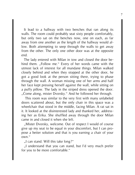It lead to a hallway with two benches that ran along its walls. The room could probably seat sixty people comfortably, but only two sat on the benches now, one on each, as far away from one another as the length of the hallway would allow. Both attempting to seep through the walls to get away from the other. The only one other door was at the opposite end.

The lady entered with Milan in tow and closed the door behind them. "Follow me." Every of her words came with the utmost lack of interest for all mundane things. Milan walked closely behind and when they stopped at the other door, he got a good look at the person sitting there, trying to phase through the wall. A woman missing one of her arms and half her face kept pressing herself against the wall, while sitting on a puffy pillow. The lady in the striped dress opened the door. "Come along, mister Dvorsky." And he followed her through.

 This room was similar to the very first with many unlabeled doors scattered about, but the only chair in this space was a wheelchair that stood in the middle, facing Milan. A rat sat in it. It looked at the disinterested lady and thanked her, addressing her as Erika. She shuffled away through the door Milan came in and closed it when she left.

"Mister Dvorsky, welcome. Out of respect I would of course give up my seat to be equal in your discomfort, but I can propose a better solution and that is you earning a chair of your own."

"I can stand. Will this take long?"

"I understand that you can stand, but I'd very much prefer for you to be more comfortable."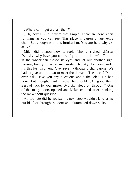"Where can I get a chair then?"

"Oh, how I wish it were that simple. There are none apart for mine as you can see. This place is barren of any extra chair. But enough with this furniturism. You are here why exactly?"

Milan didn't know how to reply. The rat sighed. "Mister Dvorsky, why have you come, if you do not know?" The rat in the wheelchair closed its eyes and let out another sigh, pausing briefly. "Excuse me, mister Dvorsky, for being rude. It's this lost shipment. Over seventy thousand chairs gone. We had to give up our own to meet the demand. The stock? Don't even ask. Have you any questions about the job?" He had none, but thought hard whether he should. "All good then. Best of luck to you, mister Dvorsky. Head on through." One of the many doors opened and Milan entered after thanking the rat without question.

All too late did he realize his next step wouldn't land as he put his foot through the door and plummeted down stairs.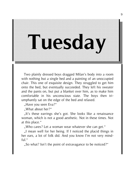Two plainly dressed boys dragged Milan's body into a room with nothing but a single bed and a painting of an unoccupied chair. This one of exquisite design. They struggled to get him onto the bed, but eventually succeeded. They left his sweater and the pants on, but put a blanket over him, as to make him comfortable in his unconscious state. The boys then triumphantly sat on the edge of the bed and relaxed.

**Tuesday (1970), 1970, 1970, 1970, 1970, 1970, 1970, 1970, 1970, 1970, 1970, 1970, 1970, 1970, 1970, 1970, 1970** 

"Have you seen Eva?"

"What about her?"

"It's these earrings she's got. She looks like a renaissance woman, which is not a good aesthetic. Not in these times. Not at this place."

"Who cares? Let a woman wear whatever she can get."

I mean well for her being. If I noticed the placid things in her ears, a lot of folk did. And you know I'm not very mindful."

"So what? Isn't the point of extravagance to be noticed?"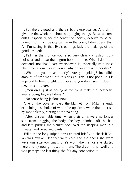..But there's good and there's bad extravagance. And don't give me the whole bit about not judging things. Because some outfits especially, for the benefit of society, deserve to be critiqued. But much beauty can lie in the crazy, I don't deny that. All I'm saying is that Eva's earrings lack the makings of the good aesthetic."

"Tell her then. Since you're so very clearly a fashion connoisseur and an aesthetic guru born into one. What I don't understand, not that I care whatsoever, is, especially with these phenomenal qualities of yours, why do you dress so poorly?"

".What do you mean poorly? Are you joking? Incredible amount of time went into this design. This is not poor. This is impeccable forethought. Just because you don't see it, doesn't mean it isn't there."

", You dress just as boring as me. So if that's the 'aesthetic' you're going for, well done."

"No sense being jealous now."

One of the boys removed the blanket from Milan, silently examining his choice of wardrobe up close, while the other sat by motionlessly, staring at the painting.

 After unspecifiable time, when their arms were no longer sore from dragging the body, the boys climbed off the bed and left, putting the blanket back over the sleeping man in a sweater and oversized pants.

Erika in the long striped dress entered briefly to check if Milan was awake. Her feet were cold and the shoes she wore were one size too small. She's worn them since she started here and by now got used to them. The dress fit her well and was perhaps the last thing she felt any connection to.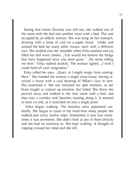Seeing that mister Dvorsky was still out, she walked out of the room with the bed into another room with a bed. This one occupied by an elderly woman. She was lying on her stomach, drawing with a lump of coal on a paper tissue. Under and around the bed lay many other tissues, each with a different face. She looked over her shoulder when Erika entered and joy filled her dull worn cheeks. "You would not believe the things that have happened since you were gone." "No sense telling" me then." Erika replied snarkily. The woman sighed, "I wish I could feed off your resignation."

Erika rolled her eyes. "Quiet, or I might resign from coming. Here." She handed the woman a single clean tissue, having received a tissue with a coal drawing of Milan's face in turn. She examined it. Her eye twitched for split moment, as her brain fought to conjure up emotion, but failed. She threw the portrait away and walked to the next room with a bed, and then into a corridor with benches running along it. It seemed to have no end, as it stretched on into a single point.

 Erika began walking. The benches were populated randomly. She began to count in her head how many people she walked past every twelve steps. Sometimes it was four sometimes it was seventeen. She didn't look at any of them directly and she had no intention to. She kept walking. A thought of tripping crossed her mind and she fell.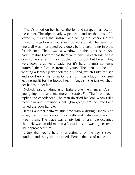There's blood on her hand. She fell and scraped her face on the carpet. The tripped lady wiped the hand on the dress, followed by cursing that instinct and seeing the precious outfit ruined. She got on all fours and looked around. The bench on one wall was interrupted by a door, before continuing into the far distance. There was a window on the other side. She hadn't realized before that there were any. On each side of the door someone sat. Erika struggled not to look but failed. They were looking at her already, for it's hard to miss someone pummel their face in front of yours. The man on the left, wearing a leather jacket offered his hand, which Erika refused and stood up on her own. On the right was a lady in a cheerleading outfit for the football team 'Angels.' She just watched, her hands in her lap.

Nobody said anything until Erika broke the silence, "Aren't you going to make me more miserable?" "That's on you," replied the cheerleader. The man diverted his look when Erika faced him and remained silent. "I'm going in," she stated and turned the door handle.

It was another hallway, this time with a distinguishable end in sight and many doors in its walls and individual seats between them. The place was empty but for a single occupied chair. He was an old man in a Victorian suit, waving her over. She approached him.

...Now that you're here, your estimate for the day is seven hundred and thirty six processed. Here is the list of names."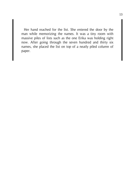Her hand reached for the list. She entered the door by the man while memorizing the names. It was a tiny room with massive piles of lists such as the one Erika was holding right now. After going through the seven hundred and thirty six names, she placed the list on top of a neatly piled column of paper.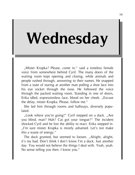**Wednesday** 

"Mister Krupka? Please, come in." said a toneless female voice from somewhere behind Cyril. The many doors of the waiting room kept opening and closing, while animals and people rushed through, answering to their names. He snapped from a state of staring at another man pulling a shoe lace into his eye socket through the nose. He followed the voice through the packed waiting room. Standing in one of doors, Erika idled, expressionless face, blood on her cheek. "Excuse the delay, mister Krupka. Please, follow me."

She led him through rooms and hallways, diversely populated.

"Look where you're going!" Cyril stepped on a duck. "Are you blind, man? Huh? Cat got your tongue?" The incident shocked Cyril and he lost the ability to react. Erika stepped in. "I'm sure mister Krupka is mostly ashamed. Let's not make this a waste of energy."

The duck grunted, but seemed to loosen. "Alright, alright, it's my bad. Don't think I don't know I'm a duck. Just another day. You would not believe the things I deal with. Yeah, yeah. No sense telling you then. I know you."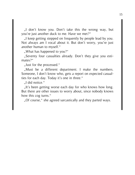"I don't know you. Don't take this the wrong way, but you're just another duck to me. Have we met?"

"I keep getting stepped on frequently by people lead by you. Not always am I vocal about it. But don't worry, you're just another human to myself."

"What has happened to you?"

"Seventy four casualties already. Don't they give you estimates?"

"Just for the processed."

", Must be a different department. I make the numbers. Someone, I don't know who, gets a report on expected casualties for each day. Today it's one in three."

"I did notice."

"It's been getting worse each day for who knows how long. But there are other issues to worry about, since nobody knows how this cog turns."

"Of course," she agreed sarcastically and they parted ways.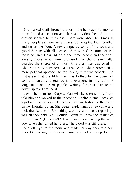She walked Cyril through a door in the hallway into another room. It had a reception and six seats. A door behind the reception seemed to just close. There were about ten times as many people as there were chairs. Some opted from conflict and sat on the floor. A few conquered some of the seats and guarded them with all they could muster. One corner of the room declared Chair Alliance and three people and their followers, those who were promised the chairs eventually, guarded the source of comfort. One chair was destroyed in what was now considered a Great War, which prompted a more political approach to the lacking furniture debacle. The myths say that the fifth chair was birthed by the queen of comfort herself and granted it to everyone in this room. A long snail-like line of people, waiting for their turn to sit down, spiraled around it.

". Wait here, mister Krupka. You will be seen shortly, " she told him and walked to the reception. Behind a small desk sat a girl with cancer in a wheelchair, keeping history of the room on her hospital gown. She began explaining: "They came and took the sixth seat. 'Something was lost and needs replacing,' was all they said. You wouldn't want to know the casualties for that day." "I wouldn't." Erika remembered seeing the window when she ruined her dress. The blood was still there.

She left Cyril to the room, and made her way back to a corridor. On her way for the next name, she took a wrong door.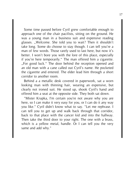Some time passed before Cyril grew comfortable enough to approach one of the chair pacifists, sitting on the ground. He was a young man in a business suit and expensive reading glasses. "Welcome. She told you to wait? Then it shouldn't take long. Some do choose to stay though. I can tell you're a man of few words. Those rarely used to last here, but now it's better. I won't bore you with the lore of this place, especially if you're here temporarily." The man offered him a cigarette. "For good luck." The door behind the reception opened and an old man with a cane called out Cyril's name. He pocketed the cigarette and entered. The elder lead him through a short corridor to another room.

Behind a a metallic desk covered in paperwork, sat a worn looking man with thinning hair, wearing an expensive, but clearly not ironed suit. He stood up, shook Cyril's hand and offered him a seat at the opposite side. They both sat down.

"Mister Krupka, I'm certain you're not aware why you are here, so I can make it very easy for you, or I can do it any way you like." Cyril didn't know what to say. "Let me rephrase. I can tell you to get up and walk back through that corridor, back to that place with the cancer kid and into the hallway. Then take the third door to your right. The one with a brass, which is a yellow metal, handle. Or I can tell you the very same and add why."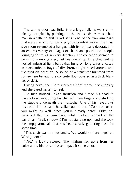The wrong door lead Erika into a large hall. Its walls completely occupied by paintings in the thousands. A mustached man in a tattered suit jacket sat in one of the two armchairs that were the only source of physical comfort inside. The massive room resembled a hangar, with its tall walls decorated in an endless variety of images of chairs and portraits of people lounging for miles in every direction. The collection seemed to be willfully unorganized, but heart-pausing. An arched ceiling hosted industrial light bulbs that hung on long wires encased in black rubber. Rays of dim bronze light raced around and flickered on occasion. A sound of a transistor hummed from somewhere beneath the concrete floor covered in a thick blanket of dust.

Having never been here sparked a brief moment of curiosity and she dared herself to feel.

The man noticed Erika's intrusion and turned his head to have a look, supporting his chin with two fingers and stroking the stubble underneath the mustache. One of his eyebrows rose with interest and he called out to her, "Come on over, you might as well, since you're already here!" Erika approached the two armchairs, while looking around at the paintings. "Well, sit down! I'm not standing up," and she took the empty armchair that has been clearly gathering dust for some time.

"This chair was my husband's. We would sit here together. Wrong door?"

"Yes," a lady answered. The nihilism had gone from her voice and a hint of enthusiasm gave it some color.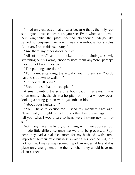"I had only expected that answer because that's the only reason anyone ever comes here, you see. Even when we moved here originally, the place seemed abandoned. Maybe it's served its purpose. I reckon it was a warehouse for surplus furniture. Not in this economy."

"Are there any other doors here?"

"All of these," and he looked at the paintings, slowly stretching out his arms, "nobody uses them anymore, perhaps they do not know they can."

"The paintings are doors?"

"To my understanding, the actual chairs in them are. You do have to sit down to walk in."

"So they're all open?"

"Except those that are occupied."

A small painting the size of a book caught her eyes. It was of an empty wheelchair in a hospital room by a window overlooking a spring garden with hyacinths in bloom.

"About your husband..."

"You'll have to excuse me. I shed my manners ages ago. Never really thought I'd talk to another being ever again. I'll tell you, what I would care to hear, were I sitting next to myself.

Not many have the luxury of arriving with their spouses, but it made little difference once we were to be processed. Suppose they had a real nice room for my husband, with some important bureaucratic business awaiting his learned wit, but not for me. I was always something of an undesirable and this place only strengthened the theory, when they would have me clean carpets.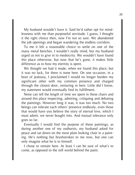My husband wouldn't have it. Said he'd rather opt for mindlessness with me than purposeful servitude. I guess, I thought it the right choice then, now I'm not so sure. We abandoned the job openings and began wandering the endless corridors.

To me it felt a reasonable choice to settle on one of the many metal benches. I wouldn't really mind, but my husband urged us not to give in to mediocrity. We wouldn't have found this place otherwise, but now that he's gone, it makes little difference as to how my eternity is spent.

We thought we had it made, when we found this place, but it was no luck, for there is none here. On one occasion, in a bout of jealousy, I proclaimed I would no longer burden my significant other with my common presence and charged through the closest door, venturing in here. Little did I know, my statement would eventually find its fulfillment.

None can tell the length of time we spent in these chairs and around this place inspecting, admiring, critiquing and debating the paintings. However long it was, it was too much. No two beings can tolerate each others' presence endlessly, even those that would have you believe the story of eternal love, which I must admit, we never bought into. And mutual tolerance only goes so far.

Eventually I would find the purpose of these paintings, as during another one of my outbursts, my husband asked for peace and sat down on the most plain looking chair in a painting. He's nothing but brushstrokes to me now, but one can only imagine what he is to himself.

I chose to remain here. At least I can be sure of what's to come, as opposed to the still world behind the paint.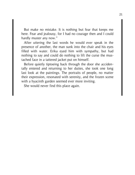But make no mistake. It is nothing but fear that keeps me here. Fear and jealousy, for I had no courage then and I could hardly muster any now."

After uttering the last words he would ever speak in the presence of another, the man sunk into the chair and his eyes filled with water. Erika eyed him with sympathy, but had nothing to say and could do nothing to lift the curse the mustached face in a tattered jacket put on himself.

Before quietly tiptoeing back through the door she accidentally entered and returning to her duties, she took one long last look at the paintings. The portraits of people, no matter their expression, resonated with serenity, and the frozen scene with a hyacinth garden seemed ever more inviting.

She would never find this place again.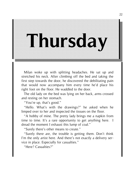Milan woke up with splitting headaches. He sat up and stretched his neck. After climbing off the bed and taking the first step towards the door, he discovered the debilitating pain that would now accompany him every time he'd place his right foot on the floor. He waddled to the door.

**Thursday** 

The old lady on the bed was lying on her back, arms crossed and resting on her stomach.

"You're up, that's good."

"Hello. What's with the drawings?" he asked when he limped over to her and inspected the tissues on the floor.

"A hobby of mine. The pretty lady brings me a napkin from time to time. It's a rare opportunity to get anything here. I dread the moment I exhaust this lump of coal."

"Surely there's other means to create."

"Surely there are, the trouble is getting them. Don't think I'm the only artist here. And there's not exactly a delivery service in place. Especially for casualties."

"Here? Casualties?"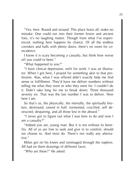"Yes, here. Round and around. This place hosts all, make no mistake. One could run into their former lovers and ancient foes, it's no laughing matter. Though from what I've experienced, nothing here happens by chance. Of all the endless corridors and halls with plenty doors, there's no room for coincidence.

I know it is scary becoming a casualty, but think how worse off you could've been."

"What happened to you?"

"I have clinical depression, unfit for work. I was an illustrator. When I got here, I prayed for something akin to that profession. Alas, what I was offered didn't exactly help me find sense or fulfillment. They'd have me deliver numbers without telling me what they were or who they were for. I couldn't do it. Didn't take long for me to break down. Three thousand seventy six. That was the last number I was to deliver. Now here I am.

So that's us, the physically, the mentally, the spiritually broken, destroyed, sawed in half, tormented, crucified, self destructed, despairing, and all those lost in the absurd."

"I never got to figure out what I was here to do and now I am a casualty?"

"Indeed you are, young man. But it is not without its benefits. All of us are free to seek and give in to comfort, should we choose to. And most do. There's not really any alternative."

Milan got on his knees and rummaged through the napkins. All had on them drawings of different faces.

"Who are these?" He asked.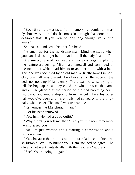"Each time I draw a face, from memory, randomly, arbitrarily, but every time I do, it comes in through that door in no desirable state. If you were to look long enough, you'd find yours."

She paused and scratched her forehead.

"A small tip for the handsome man. Mind the stairs when you can. It doesn't get better. And do tell the lady I said hi."

She smiled, relaxed her head and her eyes began exploring the featureless ceiling. Milan said farewell and continued to the next door which lead him to to another room with a bed. This one was occupied by an old man vertically sawed in half. Only one half was present. Two boys sat on the edge of the bed, not noticing Milan's entry. There was no sense trying to tell the boys apart, as they could be twins, dressed the same and all. He glanced at the person on the bed breathing heavily, blood and mucus dripping from the cut where his other half would've been and his entrails had spilled onto the originally white sheet. The smell was unbearable.

"Remember the Manchurian man?"

"Got his head removed."

"Yes, him. He had a good outfit."

"Why didn't you tell me then? Did you just now remember he impressed you?"

"No, I'm just worried about starting a conversation about fashion again."

"Yes, because that put a strain on our relationship. Don't be so irritable. Well, to humor you, I am inclined to agree. The olive jacket went fantastically with the headless 'aesthetic.'"

"See? You're doing it again!"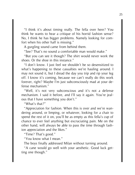"I think it's about timing really. The fella over here? You think he wants to hear a critique of his horrid fashion sense? No, I think he has bigger problems. Namely looking for comfort when his other half is missing."

A gurgling sound came from behind them.

"See? That's no sound a comfortable man would make."

"But you can see it though? The shirt would never work the shoes. Or the shoe in this instance."

"I don't know. I just feel we shouldn't be so desensitized to what's happening to these casualties we're hauling around. I may not sound it, but I dread the day you trip and rip your leg off. I know it's coming, because we can't really do this work forever, right? Maybe I'm just subconsciously mad at your defense mechanism."

"Well, it's not very subconscious and it's not a defense mechanism. I said it before, and I'll say it again. You're jealous that I have something you don't."

"What's that?"

"Appreciation for fashion. When this is over and we're wandering around, or limping, or whatever, looking for a chair to spend the rest of it on, you'll be as empty as this fella's cup of chance to ever feel anything but excruciating pain. Me on the other hand, will always be able to pass the time through fashion appreciation and the likes."

"Time? That's good."

"You know what I mean."

The boys finally addressed Milan without turning around.

"A cane would go well with your aesthetic. Good luck getting one though."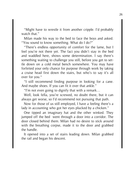"Might have to wrestle it from another cripple. I'd probably watch that."

Milan made his way to the bed to face the boys and asked. "You sound to know something. What do I do?"

"There's endless opportunity of comfort for the lame, but I feel you're not there yet. The fact you didn't stay in the bed and waddled here, shows some determination. I say there's something waiting to challenge you still, before you get to settle down on a cold metal bench somewhere. You may have forfeited your only chance for purpose through work by taking a cruise head first down the stairs, but who's to say it's all over for you."

"I still recommend finding purpose in looking for a cane. And maybe shoes. If you can fit it over that ankle."

"I'm not even going to dignify that with a remark…

Well, look fella, you're screwed, no doubt there, but it can always get worse, so I'd recommend not pursuing that path.

Now for those of us still employed, I have a feeling there's a lady in accounting who got her eyes plucked by a chicken."

One tipped an imaginary hat and the other winked. They jumped off the bed went through a door into a corridor. The door closed behind them. Milan had no desire to stick around with the breathing corpse, made it to the door and grabbed the handle.

It opened into a set of stairs leading down. Milan grabbed the rail and began his descent.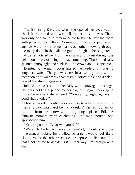The first thing Erika did when she opened her eyes was to check if the blood stain was still on her dress. It was. There was only one name to remember for today. She left the room with pillars into a hallway. Commotion. Hordes of people and animals were trying to get past each other, flowing through the many doors in the hall like grain through a cheese grater.

A camel noticed her from the swarm and swam through the gelatinous mass of beings to say something. The striped lady grunted annoyingly and sunk into the crowd and disappeared.

Eventually, the many doors filtered the horde and it was no longer crowded. The girl was now in a waiting room with a reception and two empty seats with a coffee table and a selection of furniture magazines.

Behind the desk sat another lady with extravagant earrings. She was holding a phone by her ear, but began speaking to Erika the moment she entered. "You can go right in, he's in good shape today."

Massive wooden double door lead her to a long room with a man in a patchwork vest behind a desk. A Persian rug ran towards it from the doorway. "I am getting replaced, Erika. A fantastic moment worth celebrating," the man shouted. She approached him.

"Yes, so you are. What will you do?"

"Were I to be left to the casual comfort, I would spend the timelessness looking for a pillow so large it would feel like a cloud. As for the other scenario, I suppose I'd find out. But that's not for me to decide, is it? Either way, I'm through with chairs.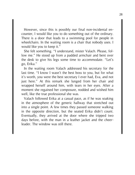However, since this is possibly our final non-incidental encounter, I would like you to do something out of the ordinary. There is a door that leads to a swimming pool for people in wheelchairs. In the waiting room is a chair that nobody uses. I would like you to keep it."

She felt something. "I understand, mister Valach. Please, follow me." He stood up from a padded armchair and bent over the desk to give his legs some time to accommodate. "Let's go, Erika."

In the waiting room Valach addressed his secretary for the last time. "I know I wasn't the best boss to you, but for what it's worth, you were the best secretary I ever had, Eva, and not just here." At this remark she lunged from her chair and wrapped herself around him, with tears in her eyes. After a moment she regained her composure, nodded and wished him well, like the true professional she was.

Valach followed Erika at a casual pace, as if he was soaking in the atmosphere of the generic hallway that stretched out into a single point. A few times they passed someone walking in the opposite direction, but the seated Erika didn't count. Eventually, they arrived at the door where she tripped two days before, with the man in a leather jacket and the cheerleader. The window was still there.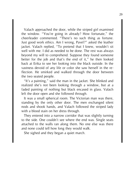Valach approached the door, while the striped girl examined the window. "You're going in already? How fortunate," the cheerleader commented. "There's no such thing as fortune. Just good work ethics. Am I wrong, Pavel?" asked the leather jacket. Valach replied, "To pretend that I knew, wouldn't sit well with me. I did as needed to be done. The rest was always beyond my will to comprehend. Suppose they found someone better for the job and that's the end of it," he then looked back at Erika to see her looking into the black outside. In the vastness devoid of any life or color she saw herself in the reflection. He smirked and walked through the door between the two seated people.

"It's a painting," said the man in the jacket. She blinked and realized she's not been looking through a window, but at a faded painting of nothing but black encased in glass. Valach left the door open and she followed through.

It was a small spherical room. The Victorian man was there, standing by the only other door. The men exchanged silent nods and shook hands, and Valach followed the striped lady with a blood stain on her dress through.

They entered into a narrow corridor that was slightly turning to the side. One couldn't see where the end was. Single seats attached to the walls ran along them. No one else was there and none could tell how long they would walk.

She sighed and they began a quiet march.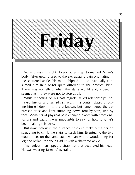**Friday (1989)** 

No end was in sight. Every other step tormented Milan's body. After getting used to the excruciating pain originating in the shattered ankle, his mind chipped in and eventually consumed him in a terror quite different to the physical kind. There was no telling when the stairs would end, indeed it seemed as if they were not to stop at all.

While reflecting on his past regrets, failed relationships, betrayed friends and ruined self worth, he contemplated throwing himself down into the unknown, but remembered the depressed artist and kept stumbling down foot by step, step by foot. Moments of physical pain changed places with emotional torture and back. It was impossible to say for how long he's been making this descent.

But now, below in the distance he could make out a person struggling to climb the stairs towards him. Eventually, the two would meet on the same step. A man with a wooden peg for leg and Milan, the young adult with a shattered ankle.

The legless man tipped a straw hat that decorated his head. He was wearing farmers' overalls.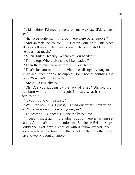"Didn't think I'd meet anyone on my way up. G'day, partner."

"Hi. To be quite frank, I forgot there were other people."

"And animals, of course. But I catch your drift. This place takes its toll on all. The name's Jeremiah. Jeremiah Meier. I remember that much."

"Milan. Milan Dvorsky. Where are you headed?"

"To the top. Where else could I be headed?"

"Then there must be a bottom. Is it very far?"

"That's for you to find out. Abandon all logic, young man. An advice, from cripple to cripple: Don't bother counting the stairs. You can't count that high."

"Are you a casualty too?"

"Oh? Are you judging by the lack of a leg? Oh, no, sir, I was born without it. I'm on a job. Not sure what it is, but I'm here to do it."

"Is your job to climb stairs?"

"Well, for now it is. I guess, I'll find out what's next when I do. What mission are you on, young sir?"

"To descend, I suppose. No one really told me."

"Indeed, I must admit, the administration here is lacking severely. And that's not to mention the Employee Relationships. Forbid you ever have a conflict with a fellow worker. You'll never reach satisfaction. But that's not really something you have to worry about anymore.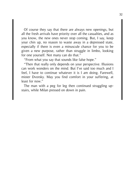Of course they say that there are always new openings, but all the fresh arrivals have priority over all the casualties, and as you know, the new ones never stop coming. But, I say, keep your chin up, no reason to waste away in a depressed state, especially if there is even a minuscule chance for you to be given a new purpose, rather than struggle in limbo, looking for one yourself. Not many can do that."

"From what you say that sounds like false hope."

"Then that really only depends on your perspective. Illusions can work wonders on the mind. But I've said too much and I feel, I have to continue whatever it is I am doing. Farewell, mister Dvorsky. May you find comfort in your suffering, at least for now."

The man with a peg for leg then continued struggling upstairs, while Milan pressed on down in pain.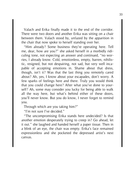Valach and Erika finally made it to the end of the corridor. There were two doors and another Erika was sitting on a chair between them. Valach stood by, unfazed by the apparition in the chair that now spoke to herself standing over her.

"Him already? Some business they're operating here. Tell me, dear, how are you?" she asked herself in a morbidly ridiculing tone, not expecting an answer and continued, "no worries, I already know. Cold, emotionless, empty, barren, nihilistic, resigned, but not despairing, not sad, but very well incapable of accepting emotions in. Shame about that dress, though, isn't it? Was that the last thing you remotely cared about? Ah, yes, I know about your escapades, don't worry. A few sparks of feelings here and there. Truly you would think that you could change here? After what you've done to yourself? Ah, some may consider you lucky for being able to walk all the way here, but what's behind either of these doors, you'll never know. But you do know, I never forget to remind you.

Through which are you taking him?"

"I'm not sure I've decided."

"The uncompromising Erika stands here undecided? Is that another emotion desperately trying to creep in? Go ahead, let it out." she laughed and handed herself a paper tissue. Then in a blink of an eye, the chair was empty. Erika's face remained expressionless and she pocketed the depressed artist's next canvas.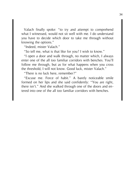Valach finally spoke: "to try and attempt to comprehend what I witnessed, would not sit well with me. I do understand you have to decide which door to take me through without knowing the options."

"Indeed, mister Valach."

"So tell me, what is that like for you? I wish to know."

"I open a door and walk through, no matter which, I always enter one of the all too familiar corridors with benches. You'll follow me through, but as for what happens when you cross the threshold, I will not know. Good luck, mister Valach."

"There is no luck here, remember?"

"Excuse me. Force of habit." A barely noticeable smile formed on her lips and she said confidently: "You are right, there isn't." And she walked through one of the doors and entered into one of the all too familiar corridors with benches.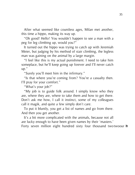After what seemed like countless ages, Milan met another, this time a hippo, making its way up.

"Oh good! Hello! You wouldn't happen to see a man with a peg for leg climbing up, would you?"

It turned out the hippo was trying to catch up with Jeremiah Meier, but judging by his method of stair climbing, the legless man was gaining on the animal by a large margin.

"I feel like this is my actual punishment. I need to take him someplace, but he'll keep going up forever and I'll never catch up."

"Surely you'll meet him in the infirmary."

"Is that where you're coming from? You're a casualty then. I'll pray for your comfort."

"What's your job?"

"My job is to guide folk around. I simply know who they are, where they are, where to take them and how to get there. Don't ask me how, I call it instinct, some of my colleagues call it magik, and quite a few simply don't care.

To put it bluntly, you get a list of names and go from there. And then you get another.

It's a bit more complicated with the animals, because not all are lucky enough to have been given names by their 'masters.' Forty seven million eight hundred sixty four thousand two two our  $\ddot{\sigma}$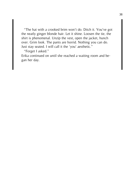"The hat with a crooked brim won't do. Ditch it. You've got the neatly ginger blonde hair. Let it shine. Loosen the tie, the shirt is phenomenal. Unzip the vest, open the jacket, hunch over. Grim look. The pants are horrid. Nothing you can do. Just stay seated. I will call it the 'you' aesthetic."

"Forget I asked."

Erika continued on until she reached a waiting room and began her day.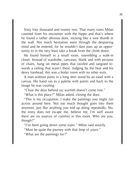Sixty four thousand and twenty two. That many stairs Milan counted from his encounter with the hippo and that's where he found a rather obvious door, sticking like a sore thumb in the wall. Not much hesitation went through the despairing mind and he entered, for he wouldn't dare pass up an opportunity to in the very least take a break from the climb down.

He found himself in a small room, resembling a walk-in closet. Instead of wardrobe, canvases, blank and with pictures of chairs, hung on metal pipes that swirled and tangoed towards a ceiling that wasn't there. Judging by the heat and his dewy forehead, this was a boiler room with no other exits.

A man without pants in a long shirt stood by an easel with a canvas. His hand ran to a palette with paints and back to the image he was creating.

"Close the door behind ya; warmth doesn't come free."

"What is this place?" Milan asked, closing the door.

"This is my occupation. I make the paintings you might run across around here. Not too much thought goes into them anymore, just like anything you end up doing repeatedly. No, the irony does not escape me, believe me, I'm well aware there are no sources of comfort in this room. Who are you, though?"

"I've been going down some stairs." Milan said wearily.

"Must be quite the journey with that limp of yours."

"What are the paintings for?"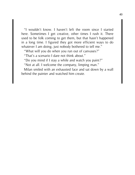"I wouldn't know. I haven't left the room since I started here. Sometimes I get creative, other times I rush it. There used to be folk coming to get them, but that hasn't happened in a long time. I figured they got more efficient ways to do whatever I am doing, just nobody bothered to tell me."

"What will you do when you run out of canvases?"

"That's a scenario I dare not think about."

"Do you mind if I stay a while and watch you paint?"

"Not at all. I welcome the company, limping man."

Milan smiled with an exhausted face and sat down by a wall behind the painter and watched him create.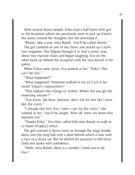After several dozen people, Erika lead a half burnt little girl to the reception where she previously went to pick up Valach. His name crossed her thoughts, but she dismissed it.

"Please, take a seat, miss Banek. You'll be called shortly."

The girl climbed on one of the chairs and picked up a furniture magazine. She flipped through it to find a comic strip about two married chairs and began laughing. Eva on the other hand sat behind the reception with her face buried in her palms.

When Erika came closer, Eva peeked at her: "Erika? This can't be real."

"What happened?"

"What happened? Someone walked in my ex Cyril to be mister Valach's replacement!"

"That explains the change of clothes. Where did you get the mourning sweater?"

"You know, the boys. Anyway, don't fall for him like I once did, the cretin."

"I already met him, Eva. I don't care for the cretin," she winked at her, "you'll be alright. After all, there are doors that separate you."

"Thanks Erika." Eva then called little miss Banek to walk in to mister Krupka's office.

The girl covered in burns went on through the large double doors into the long hall with a desk behind which a man with a face of a shock sat. But he shifted his presence to the burnt child and spoke with confidence.

"Hello, miss Banek, there is a number I need you to deliver."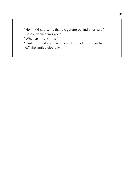"Hello. Of course. Is that a cigarette behind your ear?" The confidence was gone.

"Why, yes… yes, it is."

"Quite the find you have there. Too bad light is so hard to find," she smiled gleefully.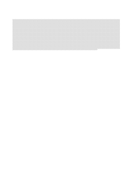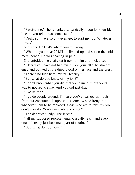"Fascinating," she remarked sarcastically, "you look terrible. I heard you fell down some stairs."

"Yeah, so I have. Didn't even get to start my job. Whatever it was."

She sighed: "That's where you're wrong."

"What do you mean?" Milan climbed up and sat on the cold metal bench. He was shaking in pain.

She unfolded the chair, sat it next to him and took a seat.

"Clearly you have not had much luck yourself," he straightened and pointed at the dried blood on her face and the dress.

"There's no luck here, mister Dvorsky."

"But what do you know of my job?"

"I don't know what you did that you earned it, but yours was to not replace me. And you did just that."

"Excuse me?"

"I guide people around, I'm sure you've realized as much from our encounter. I suppose it's some twisted irony, but whenever I am to be replaced, those who are to take my job, don't ever do. You've met Alice, correct?"

"The depressed lady? The faces?"

"All my supposed replacements. Casualty, each and every one. It's really just become a part of routine."

"But, what do I do now?"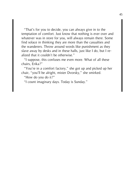"That's for you to decide, you can always give in to the temptation of comfort. Just know that nothing is ever over and whatever was in store for you, will always remain there. Some find solace in thinking they are more than the casualties and the wanderers. Throw around words like punishment as they slave away by desks and in these halls, just like I do, but I realized that it couldn't be otherwise."

"I suppose, this confuses me even more. What of all these chairs, Erika?"

"You're in a comfort factory," she got up and picked up her chair, "you'll be alright, mister Dvorsky," she smirked.

"How do you do it?"

"I count imaginary days. Today is Sunday."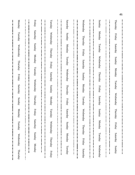| Monday             | Friday<br>Saturday | Tuesday                   | Saturday         | Wednesday          | Sunday<br>Monday | Thursday           |
|--------------------|--------------------|---------------------------|------------------|--------------------|------------------|--------------------|
| Tuesday            | Sunday             | Wednesday                 | Sunday<br>Monday | Thursday           | Tuesday          | Friday<br>Saturday |
| Wednesday          | Monday             | Thursday                  | Tuesday          | Friday             | Wednesday        | Sunday             |
| Thursday<br>Friday | Tuesday            | <b>Friday</b><br>Saturday | Wednesday        | Saturday<br>Sunday | Thursday         | Monday             |
| Saturday           | Wednesday          | Sunday                    | Thursday         | Monday             | Friday           | Tuesday            |
| Sunday             | Thursday           | Monday                    | Friday           | Tuesday            | Saturday         | Wednesday          |
| Monday             | Friday             | Tuesday                   | Saturday         | Wednesday          | Sunday           | Thursday           |
| Tuesday            | Saturday           | Wednesday                 | Sunday           | Thursday           | Monday           | <b>Friday</b>      |
| Wednesday          | Sunday             | Thursday                  | Monday           | ٠<br>Friday        | Tuesday          | Saturday           |
| Thursday           | Monday             | Friday                    | Tuesday          | Saturday<br>ļ      | Wednesday        | Sunday             |

46